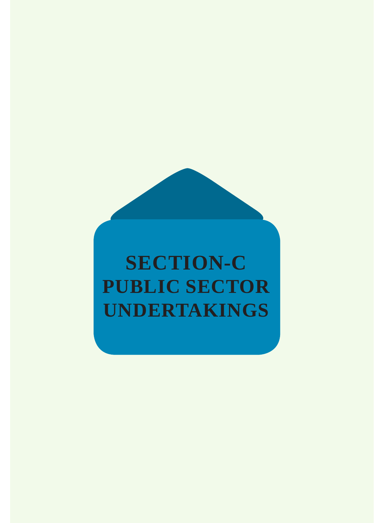# **SECTION-C PUBLIC SECTOR UNDERTAKINGS**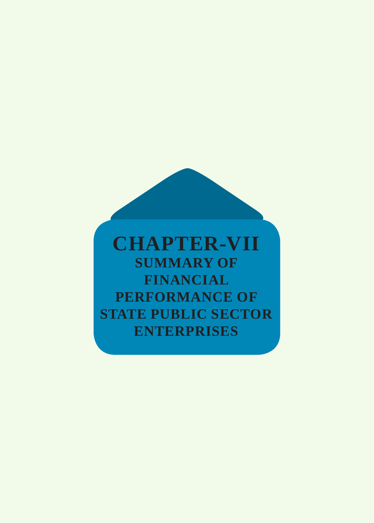**CHAPTER-ViI Summary of Financial Performance of STATE PUBLIC SECTOR Enterprises**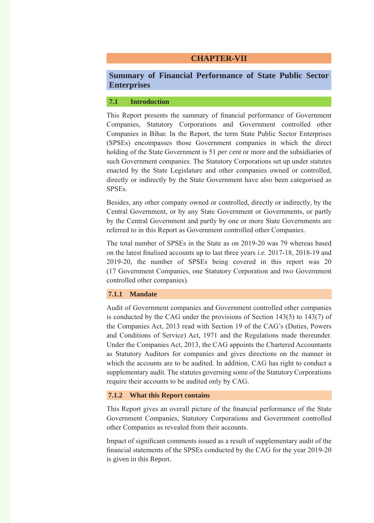## **CHAPTER-VII**

# **Summary of Financial Performance of State Public Sector Enterprises**

#### **7.1 Introduction**

This Report presents the summary of financial performance of Government Companies, Statutory Corporations and Government controlled other Companies in Bihar. In the Report, the term State Public Sector Enterprises (SPSEs) encompasses those Government companies in which the direct holding of the State Government is 51 *per cent* or more and the subsidiaries of such Government companies. The Statutory Corporations set up under statutes enacted by the State Legislature and other companies owned or controlled, directly or indirectly by the State Government have also been categorised as SPSEs.

Besides, any other company owned or controlled, directly or indirectly, by the Central Government, or by any State Government or Governments, or partly by the Central Government and partly by one or more State Governments are referred to in this Report as Government controlled other Companies.

The total number of SPSEs in the State as on 2019-20 was 79 whereas based on the latest finalised accounts up to last three years *i.e.* 2017-18, 2018-19 and 2019-20, the number of SPSEs being covered in this report was 20 (17 Government Companies, one Statutory Corporation and two Government controlled other companies).

### **7.1.1 Mandate**

Audit of Government companies and Government controlled other companies is conducted by the CAG under the provisions of Section 143(5) to 143(7) of the Companies Act, 2013 read with Section 19 of the CAG's (Duties, Powers and Conditions of Service) Act, 1971 and the Regulations made thereunder. Under the Companies Act, 2013, the CAG appoints the Chartered Accountants as Statutory Auditors for companies and gives directions on the manner in which the accounts are to be audited. In addition, CAG has right to conduct a supplementary audit. The statutes governing some of the Statutory Corporations require their accounts to be audited only by CAG.

#### **7.1.2 What this Report contains**

This Report gives an overall picture of the financial performance of the State Government Companies, Statutory Corporations and Government controlled other Companies as revealed from their accounts.

Impact of significant comments issued as a result of supplementary audit of the financial statements of the SPSEs conducted by the CAG for the year 2019-20 is given in this Report.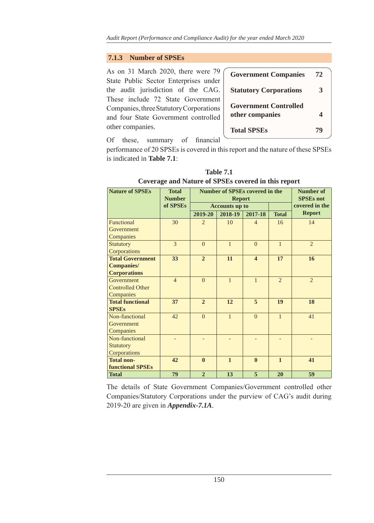#### **7.1.3 Number of SPSEs**

| As on 31 March 2020, there were 79      | <b>Government Companies</b>   | 72 |
|-----------------------------------------|-------------------------------|----|
| State Public Sector Enterprises under   |                               |    |
| the audit jurisdiction of the CAG.      | <b>Statutory Corporations</b> | 3  |
| These include 72 State Government       | <b>Government Controlled</b>  |    |
| Companies, three Statutory Corporations | other companies               |    |
| and four State Government controlled    |                               |    |
| other companies.                        | <b>Total SPSEs</b>            | 79 |
|                                         |                               |    |

Of these, summary of financial

performance of 20 SPSEs is covered in this report and the nature of these SPSEs is indicated in **Table 7.1**:

| <b>Nature of SPSEs</b>  | <b>Total</b>             | <b>Number of SPSEs covered in the</b> | <b>Number of</b>      |                         |                |                  |
|-------------------------|--------------------------|---------------------------------------|-----------------------|-------------------------|----------------|------------------|
|                         | <b>Number</b>            |                                       | <b>Report</b>         |                         |                | <b>SPSEs not</b> |
|                         | of SPSEs                 |                                       | <b>Accounts up to</b> |                         |                | covered in the   |
|                         |                          | 2019-20                               | 2018-19               | 2017-18                 | <b>Total</b>   | <b>Report</b>    |
| Functional              | 30                       | $\overline{2}$                        | 10                    | $\overline{4}$          | 16             | 14               |
| <b>Government</b>       |                          |                                       |                       |                         |                |                  |
| Companies               |                          |                                       |                       |                         |                |                  |
| Statutory               | $\overline{\mathcal{E}}$ | $\Omega$                              | $\mathbf{1}$          | $\Omega$                | $\mathbf{1}$   | $\overline{2}$   |
| Corporations            |                          |                                       |                       |                         |                |                  |
| <b>Total Government</b> | 33                       | $\overline{2}$                        | 11                    | $\overline{\mathbf{4}}$ | 17             | 16               |
| <b>Companies/</b>       |                          |                                       |                       |                         |                |                  |
| <b>Corporations</b>     |                          |                                       |                       |                         |                |                  |
| Government              | $\overline{4}$           | $\overline{0}$                        | $\mathbf{1}$          | $\mathbf{1}$            | $\overline{2}$ | $\overline{2}$   |
| <b>Controlled Other</b> |                          |                                       |                       |                         |                |                  |
| Companies               |                          |                                       |                       |                         |                |                  |
| <b>Total functional</b> | 37                       | $\overline{2}$                        | 12                    | 5                       | 19             | 18               |
| <b>SPSEs</b>            |                          |                                       |                       |                         |                |                  |
| Non-functional          | 42                       | $\Omega$                              | $\mathbf{1}$          | $\Omega$                | $\mathbf{1}$   | 41               |
| Government              |                          |                                       |                       |                         |                |                  |
| Companies               |                          |                                       |                       |                         |                |                  |
| Non-functional          |                          |                                       |                       |                         |                |                  |
| Statutory               |                          |                                       |                       |                         |                |                  |
| Corporations            |                          |                                       |                       |                         |                |                  |
| <b>Total non-</b>       | 42                       | $\bf{0}$                              | $\mathbf{1}$          | $\mathbf{0}$            | $\mathbf{1}$   | 41               |
| <b>functional SPSEs</b> |                          |                                       |                       |                         |                |                  |
| <b>Total</b>            | 79                       | $\overline{2}$                        | 13                    | $\overline{5}$          | 20             | 59               |

**Table 7.1 Coverage and Nature of SPSEs covered in this report**

The details of State Government Companies/Government controlled other Companies/Statutory Corporations under the purview of CAG's audit during 2019-20 are given in *Appendix-7.1A*.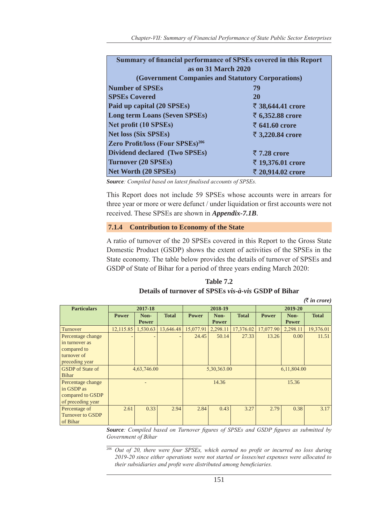| Summary of financial performance of SPSEs covered in this Report<br>as on 31 March 2020 |                        |  |  |  |  |  |  |
|-----------------------------------------------------------------------------------------|------------------------|--|--|--|--|--|--|
| (Government Companies and Statutory Corporations)                                       |                        |  |  |  |  |  |  |
| <b>Number of SPSEs</b>                                                                  | 79                     |  |  |  |  |  |  |
| <b>SPSEs Covered</b>                                                                    | <b>20</b>              |  |  |  |  |  |  |
| Paid up capital (20 SPSEs)                                                              | ₹ 38,644.41 crore      |  |  |  |  |  |  |
| <b>Long term Loans (Seven SPSEs)</b>                                                    | ₹ 6,352.88 crore       |  |  |  |  |  |  |
| Net profit (10 SPSEs)                                                                   | $\bar{5}$ 641.60 crore |  |  |  |  |  |  |
| <b>Net loss (Six SPSEs)</b>                                                             | ₹ 3,220.84 crore       |  |  |  |  |  |  |
| <b>Zero Profit/loss (Four SPSEs)<sup>206</sup></b>                                      |                        |  |  |  |  |  |  |
| <b>Dividend declared (Two SPSEs)</b>                                                    | $\bar{z}$ 7.28 crore   |  |  |  |  |  |  |
| <b>Turnover (20 SPSEs)</b>                                                              | ₹ 19,376.01 crore      |  |  |  |  |  |  |
| <b>Net Worth (20 SPSEs)</b>                                                             | ₹ 20,914.02 crore      |  |  |  |  |  |  |

*Source: Compiled based on latest finalised accounts of SPSEs.*

This Report does not include 59 SPSEs whose accounts were in arrears for three year or more or were defunct / under liquidation or first accounts were not received. These SPSEs are shown in *Appendix-7.1B*.

### **7.1.4 Contribution to Economy of the State**

A ratio of turnover of the 20 SPSEs covered in this Report to the Gross State Domestic Product (GSDP) shows the extent of activities of the SPSEs in the State economy. The table below provides the details of turnover of SPSEs and GSDP of State of Bihar for a period of three years ending March 2020:

|                                                                                     |              |                      |              |              |                      |              |              |                      | $(\bar{\tau}$ in crore) |
|-------------------------------------------------------------------------------------|--------------|----------------------|--------------|--------------|----------------------|--------------|--------------|----------------------|-------------------------|
| <b>Particulars</b>                                                                  | 2017-18      |                      |              | 2018-19      |                      |              | 2019-20      |                      |                         |
|                                                                                     | <b>Power</b> | Non-<br><b>Power</b> | <b>Total</b> | <b>Power</b> | Non-<br><b>Power</b> | <b>Total</b> | <b>Power</b> | Non-<br><b>Power</b> | <b>Total</b>            |
| Turnover                                                                            | 12,115.85    | 1,530.63             | 13,646.48    | 15,077.91    | 2,298.11             | 17,376.02    | 17,077.90    | 2,298.11             | 19,376.01               |
| Percentage change<br>in turnover as<br>compared to<br>turnover of<br>preceding year |              |                      |              | 24.45        | 50.14                | 27.33        | 13.26        | 0.00                 | 11.51                   |
| <b>GSDP</b> of State of<br><b>Bihar</b>                                             |              | 4,63,746.00          |              |              | 5,30,363.00          |              |              | 6,11,804.00          |                         |
| Percentage change<br>in GSDP as<br>compared to GSDP<br>of preceding year            |              |                      |              |              | 14.36                |              |              | 15.36                |                         |
| Percentage of<br>Turnover to GSDP<br>of Bihar                                       | 2.61         | 0.33                 | 2.94         | 2.84         | 0.43                 | 3.27         | 2.79         | 0.38                 | 3.17                    |

**Table 7.2 Details of turnover of SPSEs** *vis-à-vis* **GSDP of Bihar** 

*Source: Compiled based on Turnover figures of SPSEs and GSDP figures as submitted by Government of Bihar*

<sup>206</sup> *Out of 20, there were four SPSEs, which earned no profit or incurred no loss during 2019-20 since either operations were not started or losses/net expenses were allocated to their subsidiaries and profit were distributed among beneficiaries.*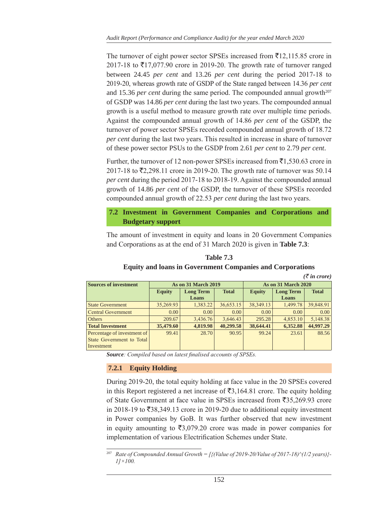The turnover of eight power sector SPSEs increased from  $\overline{5}12,115.85$  crore in 2017-18 to  $\overline{\xi}$ 17,077.90 crore in 2019-20. The growth rate of turnover ranged between 24.45 *per cent* and 13.26 *per cent* during the period 2017-18 to 2019-20, whereas growth rate of GSDP of the State ranged between 14.36 *per cent* and 15.36 *per cent* during the same period. The compounded annual growth<sup>207</sup> of GSDP was 14.86 *per cent* during the last two years. The compounded annual growth is a useful method to measure growth rate over multiple time periods. Against the compounded annual growth of 14.86 *per cent* of the GSDP, the turnover of power sector SPSEs recorded compounded annual growth of 18.72 *per cent* during the last two years. This resulted in increase in share of turnover of these power sector PSUs to the GSDP from 2.61 *per cent* to 2.79 *per cent*.

Further, the turnover of 12 non-power SPSEs increased from  $\bar{z}1,530.63$  crore in 2017-18 to  $\bar{\mathfrak{Z}}$ 2,298.11 crore in 2019-20. The growth rate of turnover was 50.14 *per cent* during the period 2017-18 to 2018-19. Against the compounded annual growth of 14.86 *per cent* of the GSDP, the turnover of these SPSEs recorded compounded annual growth of 22.53 *per cent* during the last two years.

# **7.2 Investment in Government Companies and Corporations and Budgetary support**

The amount of investment in equity and loans in 20 Government Companies and Corporations as at the end of 31 March 2020 is given in **Table 7.3**:

|                              |               |                                  |           |                   |                            | $(\bar{\bar{\tau}}$ in crore) |
|------------------------------|---------------|----------------------------------|-----------|-------------------|----------------------------|-------------------------------|
| <b>Sources of investment</b> |               | <b>As on 31 March 2019</b>       |           |                   | <b>As on 31 March 2020</b> |                               |
|                              | <b>Equity</b> | <b>Long Term</b><br><b>Total</b> |           | <b>Equity</b>     | <b>Long Term</b>           | <b>Total</b>                  |
|                              |               | Loans                            |           |                   | Loans                      |                               |
| <b>State Government</b>      | 35,269.93     | 1,383.22                         | 36,653.15 | 38,349.13         | 1,499.78                   | 39,848.91                     |
| <b>Central Government</b>    | 0.00          | 0.00                             | 0.00      | 0.00 <sub>1</sub> | 0.00                       | 0.00                          |
| <b>Others</b>                | 209.67        | 3,436.76                         | 3,646.43  | 295.28            | 4,853.10                   | 5,148.38                      |
| <b>Total Investment</b>      | 35,479.60     | 4,819.98                         | 40,299.58 | 38,644.41         | 6,352.88                   | 44,997.29                     |
| Percentage of investment of  | 99.41         | 28.70                            | 90.95     | 99.24             | 23.61                      | 88.56                         |
| State Government to Total    |               |                                  |           |                   |                            |                               |
| Investment                   |               |                                  |           |                   |                            |                               |

**Table 7.3 Equity and loans in Government Companies and Corporations**

*Source: Compiled based on latest finalised accounts of SPSEs.*

## **7.2.1 Equity Holding**

During 2019-20, the total equity holding at face value in the 20 SPSEs covered in this Report registered a net increase of  $\overline{53,164.81}$  crore. The equity holding of State Government at face value in SPSEs increased from  $\overline{535,269.93}$  crore in 2018-19 to  $\overline{5}38,349.13$  crore in 2019-20 due to additional equity investment in Power companies by GoB. It was further observed that new investment in equity amounting to  $\bar{\mathfrak{z}}3,079.20$  crore was made in power companies for implementation of various Electrification Schemes under State.

<sup>207</sup> *Rate of Compounded Annual Growth = [{(Value of 2019-20/Value of 2017-18)^(1/2 years)}- 1]×100.*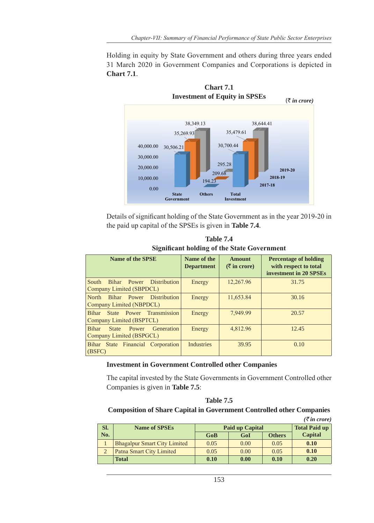Holding in equity by State Government and others during three years ended 31 March 2020 in Government Companies and Corporations is depicted in **Chart 7.1**.



Details of significant holding of the State Government as in the year 2019-20 in the paid up capital of the SPSEs is given in **Table 7.4**.

**Table 7.4 Significant holding of the State Government** 

| Name of the SPSE                                                                | Name of the<br><b>Department</b> | <b>Amount</b><br>$(\bar{z})$ in crore) | <b>Percentage of holding</b><br>with respect to total<br>investment in 20 SPSEs |
|---------------------------------------------------------------------------------|----------------------------------|----------------------------------------|---------------------------------------------------------------------------------|
| Bihar Power Distribution<br>South<br>Company Limited (SBPDCL)                   | Energy                           | 12,267.96                              | 31.75                                                                           |
| Bihar Power<br><b>Distribution</b><br><b>North</b><br>Company Limited (NBPDCL)  | Energy                           | 11,653.84                              | 30.16                                                                           |
| State Power Transmission<br><b>Bihar</b><br>Company Limited (BSPTCL)            | Energy                           | 7,949.99                               | 20.57                                                                           |
| <b>Bihar</b><br>Power<br>Generation<br><b>State</b><br>Company Limited (BSPGCL) | Energy                           | 4,812.96                               | 12.45                                                                           |
| Bihar State Financial Corporation<br>(BSFC)                                     | <b>Industries</b>                | 39.95                                  | 0.10                                                                            |

### **Investment in Government Controlled other Companies**

The capital invested by the State Governments in Government Controlled other Companies is given in **Table 7.5**:

## **Composition of Share Capital in Government Controlled other Companies**

|     |                                     |                        |                      |               | $(\bar{z}$ in crore) |
|-----|-------------------------------------|------------------------|----------------------|---------------|----------------------|
| SI. | <b>Name of SPSEs</b>                | <b>Paid up Capital</b> | <b>Total Paid up</b> |               |                      |
| No. |                                     | GoB                    | GoI                  | <b>Others</b> | <b>Capital</b>       |
|     | <b>Bhagalpur Smart City Limited</b> | 0.05                   | 0.00                 | 0.05          | 0.10                 |
|     | Patna Smart City Limited            | 0.05                   | 0.00                 | 0.05          | 0.10                 |
|     | <b>Total</b>                        | 0.10                   | 0.00                 | 0.10          | 0.20                 |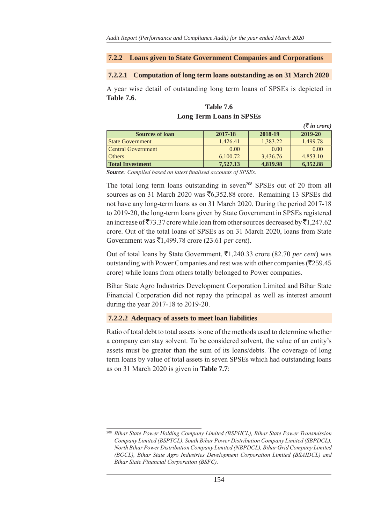#### **7.2.2 Loans given to State Government Companies and Corporations**

#### **7.2.2.1 Computation of long term loans outstanding as on 31 March 2020**

A year wise detail of outstanding long term loans of SPSEs is depicted in **Table 7.6**.

|                           |          |          | $(\bar{\bar{\tau}}$ in crore) |
|---------------------------|----------|----------|-------------------------------|
| <b>Sources of loan</b>    | 2017-18  | 2018-19  | 2019-20                       |
| <b>State Government</b>   | 1.426.41 | 1,383.22 | 1,499.78                      |
| <b>Central Government</b> | 0.00     | 0.00     | 0.00                          |
| <b>Others</b>             | 6,100.72 | 3,436.76 | 4,853.10                      |
| <b>Total Investment</b>   | 7,527.13 | 4,819.98 | 6,352.88                      |

**Table 7.6 Long Term Loans in SPSEs**

*Source: Compiled based on latest finalised accounts of SPSEs.*

The total long term loans outstanding in seven<sup>208</sup> SPSEs out of 20 from all sources as on 31 March 2020 was  $\text{\textsterling}6,352.88$  crore. Remaining 13 SPSEs did not have any long-term loans as on 31 March 2020. During the period 2017-18 to 2019-20, the long-term loans given by State Government in SPSEs registered an increase of  $\bar{\mathfrak{g}}$  73.37 crore while loan from other sources decreased by  $\bar{\mathfrak{g}}$  1,247.62 crore. Out of the total loans of SPSEs as on 31 March 2020, loans from State Government was `1,499.78 crore (23.61 *per cent*).

Out of total loans by State Government, `1,240.33 crore (82.70 *per cent*) was outstanding with Power Companies and rest was with other companies ( $\overline{\mathfrak{Z}}$ 259.45 crore) while loans from others totally belonged to Power companies.

Bihar State Agro Industries Development Corporation Limited and Bihar State Financial Corporation did not repay the principal as well as interest amount during the year 2017-18 to 2019-20.

## **7.2.2.2 Adequacy of assets to meet loan liabilities**

Ratio of total debt to total assets is one of the methods used to determine whether a company can stay solvent. To be considered solvent, the value of an entity's assets must be greater than the sum of its loans/debts. The coverage of long term loans by value of total assets in seven SPSEs which had outstanding loans as on 31 March 2020 is given in **Table 7.7**:

<sup>208</sup> *Bihar State Power Holding Company Limited (BSPHCL), Bihar State Power Transmission Company Limited (BSPTCL), South Bihar Power Distribution Company Limited (SBPDCL), North Bihar Power Distribution Company Limited (NBPDCL), Bihar Grid Company Limited (BGCL), Bihar State Agro Industries Development Corporation Limited (BSAIDCL) and Bihar State Financial Corporation (BSFC).*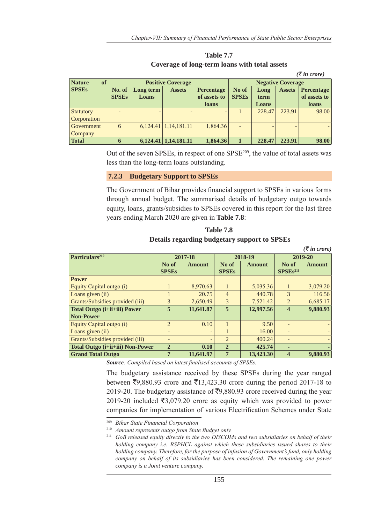**Table 7.7 Coverage of long-term loans with total assets**

|                            |              |           |                          |                   |                          |        |               | $(\bar{z})$ in crore) |
|----------------------------|--------------|-----------|--------------------------|-------------------|--------------------------|--------|---------------|-----------------------|
| <b>Nature</b><br><b>of</b> |              |           | <b>Positive Coverage</b> |                   | <b>Negative Coverage</b> |        |               |                       |
| <b>SPSEs</b>               | No. of       | Long term | <b>Assets</b>            | <b>Percentage</b> | No of                    | Long   | <b>Assets</b> | Percentage            |
|                            | <b>SPSEs</b> | Loans     |                          | of assets to      | <b>SPSEs</b>             | term   |               | of assets to          |
|                            |              |           |                          | <b>loans</b>      |                          | Loans  |               | loans                 |
| Statutory                  |              |           |                          |                   |                          | 228.47 | 223.91        | 98.00                 |
| Corporation                |              |           |                          |                   |                          |        |               |                       |
| Government                 | 6            | 6.124.41  | 1,14,181.11              | 1,864.36          |                          |        |               |                       |
| Company                    |              |           |                          |                   |                          |        |               |                       |
| <b>Total</b>               | 6            | 6,124.41  | 1,14,181.11              | 1,864.36          |                          | 228.47 | 223.91        | 98.00                 |

Out of the seven SPSEs, in respect of one SPSE<sup>209</sup>, the value of total assets was less than the long-term loans outstanding.

#### **7.2.3 Budgetary Support to SPSEs**

The Government of Bihar provides financial support to SPSEs in various forms through annual budget. The summarised details of budgetary outgo towards equity, loans, grants/subsidies to SPSEs covered in this report for the last three years ending March 2020 are given in **Table 7.8**:

| Details regarding budgetary support to SPSEs |                       |               |                       |               |                               |                       |  |
|----------------------------------------------|-----------------------|---------------|-----------------------|---------------|-------------------------------|-----------------------|--|
|                                              |                       |               |                       |               |                               | $(\bar{z})$ in crore) |  |
| Particulars <sup>210</sup>                   |                       | 2017-18       |                       | 2018-19       | 2019-20                       |                       |  |
|                                              | No of<br><b>SPSEs</b> | <b>Amount</b> | No of<br><b>SPSEs</b> | <b>Amount</b> | No of<br>SPSEs <sup>211</sup> | <b>Amount</b>         |  |
| <b>Power</b>                                 |                       |               |                       |               |                               |                       |  |
| Equity Capital outgo (i)                     | 1                     | 8,970.63      |                       | 5,035.36      | $\mathbf{1}$                  | 3,079.20              |  |
| Loans given (ii)                             |                       | 20.75         | $\overline{4}$        | 440.78        | 3                             | 116.56                |  |
| Grants/Subsidies provided (iii)              | 3                     | 2,650.49      | 3                     | 7,521.42      | $\overline{2}$                | 6,685.17              |  |
| Total Outgo (i+ii+iii) Power                 | 5                     | 11,641.87     | $5\overline{)}$       | 12,997.56     | $\overline{\mathbf{4}}$       | 9,880.93              |  |
| <b>Non-Power</b>                             |                       |               |                       |               |                               |                       |  |
| Equity Capital outgo (i)                     | 2                     | 0.10          |                       | 9.50          |                               |                       |  |
| Loans given (ii)                             |                       | -             | $\mathbf{1}$          | 16.00         |                               |                       |  |
| Grants/Subsidies provided (iii)              |                       | -             | $\overline{2}$        | 400.24        |                               |                       |  |
| Total Outgo (i+ii+iii) Non-Power             | $\overline{2}$        | 0.10          | $\overline{2}$        | 425.74        |                               |                       |  |
| <b>Grand Total Outgo</b>                     | $\overline{7}$        | 11,641.97     | 7                     | 13,423.30     | $\overline{\mathbf{4}}$       | 9,880.93              |  |

**Table 7.8**

*Source: Compiled based on latest finalised accounts of SPSEs.*

The budgetary assistance received by these SPSEs during the year ranged between  $\bar{\mathfrak{g}}9,880.93$  crore and  $\bar{\mathfrak{g}}13,423.30$  crore during the period 2017-18 to 2019-20. The budgetary assistance of ₹9,880.93 crore received during the year 2019-20 included  $\overline{53,079.20}$  crore as equity which was provided to power companies for implementation of various Electrification Schemes under State

<sup>209</sup> *Bihar State Financial Corporation*

<sup>210</sup> *Amount represents outgo from State Budget only.*

<sup>211</sup> *GoB released equity directly to the two DISCOMs and two subsidiaries on behalf of their holding company i.e. BSPHCL against which these subsidiaries issued shares to their holding company. Therefore, for the purpose of infusion of Government's fund, only holding company on behalf of its subsidiaries has been considered. The remaining one power company is a Joint venture company.*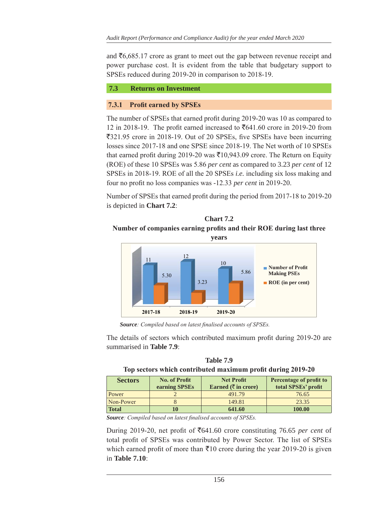and  $\bar{c}6,685.17$  crore as grant to meet out the gap between revenue receipt and power purchase cost. It is evident from the table that budgetary support to SPSEs reduced during 2019-20 in comparison to 2018-19.

## **7.3 Returns on Investment**

# **7.3.1 Profit earned by SPSEs**

The number of SPSEs that earned profit during 2019-20 was 10 as compared to 12 in 2018-19. The profit earned increased to  $\overline{6}641.60$  crore in 2019-20 from `321.95 crore in 2018-19. Out of 20 SPSEs, five SPSEs have been incurring losses since 2017-18 and one SPSE since 2018-19. The Net worth of 10 SPSEs that earned profit during 2019-20 was  $\bar{\tau}$ 10,943.09 crore. The Return on Equity (ROE) of these 10 SPSEs was 5.86 *per cent* as compared to 3.23 *per cent* of 12 SPSEs in 2018-19. ROE of all the 20 SPSEs *i.e.* including six loss making and four no profit no loss companies was -12.33 *per cent* in 2019-20.

Number of SPSEs that earned profit during the period from 2017-18 to 2019-20 is depicted in **Chart 7.2**:





 *Source: Compiled based on latest finalised accounts of SPSEs.*

The details of sectors which contributed maximum profit during 2019-20 are summarised in **Table 7.9**:

| Top sectors which contributed maximum profit during 2019-20 |                      |                                            |                     |  |  |
|-------------------------------------------------------------|----------------------|--------------------------------------------|---------------------|--|--|
| <b>Sectors</b>                                              | <b>No. of Profit</b> | Percentage of profit to                    |                     |  |  |
|                                                             | earning SPSEs        | Earned $(\bar{\bar{\mathbf{x}}}$ in crore) | total SPSEs' profit |  |  |
| Power                                                       |                      | 491.79                                     | 76.65               |  |  |
| Non-Power                                                   |                      | 149.81                                     | 23.35               |  |  |
| <b>Total</b>                                                | 10                   | 641.60                                     | 100.00              |  |  |

**Table 7.9 Top sectors which contributed maximum profit during 2019-20**

*Source: Compiled based on latest finalised accounts of SPSEs.*

During 2019-20, net profit of `641.60 crore constituting 76.65 *per cent* of total profit of SPSEs was contributed by Power Sector. The list of SPSEs which earned profit of more than  $\bar{x}$ 10 crore during the year 2019-20 is given in **Table 7.10**: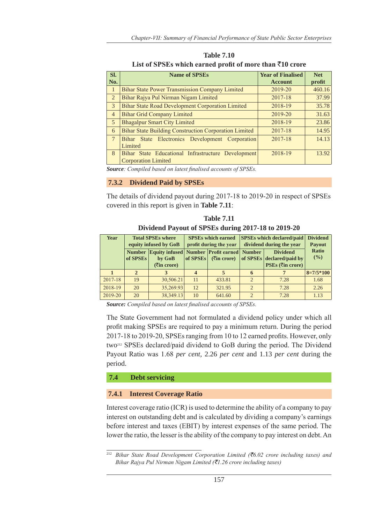| Sl.             | <b>Name of SPSEs</b>                                         | <b>Year of Finalised</b> | <b>Net</b> |
|-----------------|--------------------------------------------------------------|--------------------------|------------|
| No.             |                                                              | <b>Account</b>           | profit     |
| $\mathbf{1}$    | <b>Bihar State Power Transmission Company Limited</b>        | 2019-20                  | 460.16     |
| 2               | Bihar Rajya Pul Nirman Nigam Limited                         | 2017-18                  | 37.99      |
| 3               | <b>Bihar State Road Development Corporation Limited</b>      | 2018-19                  | 35.78      |
| $\overline{4}$  | <b>Bihar Grid Company Limited</b>                            | 2019-20                  | 31.63      |
| 5               | <b>Bhagalpur Smart City Limited</b>                          | 2018-19                  | 23.86      |
| 6               | <b>Bihar State Building Construction Corporation Limited</b> | 2017-18                  | 14.95      |
| $7\phantom{.0}$ | Bihar State Electronics Development Corporation              | 2017-18                  | 14.13      |
|                 | Limited                                                      |                          |            |
| 8               | Bihar State Educational Infrastructure Development           | 2018-19                  | 13.92      |
|                 | <b>Corporation Limited</b>                                   |                          |            |

**Table 7.10 List of SPSEs which earned profit of more than** `**10 crore**

*Source: Compiled based on latest finalised accounts of SPSEs.*

## **7.3.2 Dividend Paid by SPSEs**

The details of dividend payout during 2017-18 to 2019-20 in respect of SPSEs covered in this report is given in **Table 7.11**:

**Table 7.11 Dividend Payout of SPSEs during 2017-18 to 2019-20**

| Year    | <b>Total SPSEs where</b><br>equity infused by GoB |                                                                                      |                | <b>SPSEs which earned</b><br>profit during the year | <b>SPSEs which declared/paid</b><br>dividend during the year |                                                                   | Dividend<br>Payout     |
|---------|---------------------------------------------------|--------------------------------------------------------------------------------------|----------------|-----------------------------------------------------|--------------------------------------------------------------|-------------------------------------------------------------------|------------------------|
|         | of SPSEs                                          | Number Equity infused Number Profit earned Number<br>by GoB<br>$( \bar{z}$ in crore) | of SPSEs       | $(\overline{\mathfrak{m}}\text{ more})$             |                                                              | <b>Dividend</b><br>of SPSEs declared/paid by<br>PSEs (रैin crore) | <b>Ratio</b><br>$($ %) |
|         | $\mathbf{2}$                                      |                                                                                      | $\overline{4}$ |                                                     | 6                                                            |                                                                   | $8=7/5*100$            |
| 2017-18 | 19                                                | 30,506.21                                                                            | 11             | 433.81                                              | $\mathcal{D}_{\alpha}$                                       | 7.28                                                              | 1.68                   |
| 2018-19 | 20                                                | 35,269.93                                                                            | 12             | 321.95                                              | $\mathcal{D}_{\mathcal{A}}$                                  | 7.28                                                              | 2.26                   |
| 2019-20 | 20                                                | 38,349.13                                                                            | 10             | 641.60                                              | $\mathcal{D}_{\alpha}$                                       | 7.28                                                              | 1.13                   |

*Source: Compiled based on latest finalised accounts of SPSEs.*

The State Government had not formulated a dividend policy under which all profit making SPSEs are required to pay a minimum return. During the period 2017-18 to 2019-20, SPSEs ranging from 10 to 12 earned profits. However, only two212 SPSEs declared/paid dividend to GoB during the period. The Dividend Payout Ratio was 1.68 *per cent,* 2.26 *per cent* and 1.13 *per cent* during the period.

## **7.4 Debt servicing**

## **7.4.1 Interest Coverage Ratio**

Interest coverage ratio (ICR) is used to determine the ability of a company to pay interest on outstanding debt and is calculated by dividing a company's earnings before interest and taxes (EBIT) by interest expenses of the same period. The lower the ratio, the lesser is the ability of the company to pay interest on debt. An

<sup>212</sup> *Bihar State Road Development Corporation Limited (*`*6.02 crore including taxes) and Bihar Rajya Pul Nirman Nigam Limited (*`*1.26 crore including taxes)*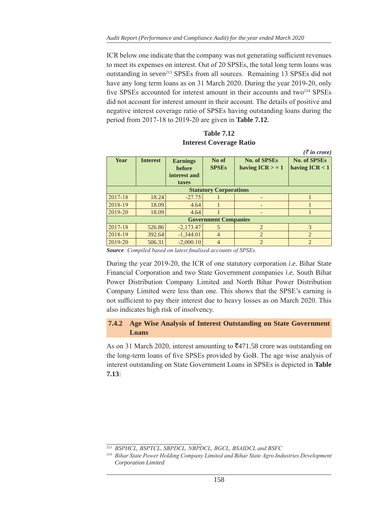ICR below one indicate that the company was not generating sufficient revenues to meet its expenses on interest. Out of 20 SPSEs, the total long term loans was outstanding in seven<sup>213</sup> SPSEs from all sources. Remaining 13 SPSEs did not have any long term loans as on 31 March 2020. During the year 2019-20, only five SPSEs accounted for interest amount in their accounts and two<sup>214</sup> SPSEs did not account for interest amount in their account. The details of positive and negative interest coverage ratio of SPSEs having outstanding loans during the period from 2017-18 to 2019-20 are given in **Table 7.12**.

**Table 7.12 Interest Coverage Ratio**

|                               |                             |                                                           |                       |                                    | $(\bar{\mathcal{F}}$ in crore)          |  |  |  |
|-------------------------------|-----------------------------|-----------------------------------------------------------|-----------------------|------------------------------------|-----------------------------------------|--|--|--|
| Year                          | <b>Interest</b>             | <b>Earnings</b><br><b>before</b><br>interest and<br>taxes | No of<br><b>SPSEs</b> | No. of SPSEs<br>having $ICR > = 1$ | <b>No. of SPSEs</b><br>having $ICR < 1$ |  |  |  |
| <b>Statutory Corporations</b> |                             |                                                           |                       |                                    |                                         |  |  |  |
| 2017-18                       | 18.24                       | $-27.75$                                                  |                       |                                    |                                         |  |  |  |
| 2018-19                       | 18.09                       | 4.64                                                      |                       |                                    |                                         |  |  |  |
| 2019-20                       | 18.09                       | 4.64                                                      |                       |                                    |                                         |  |  |  |
|                               | <b>Government Companies</b> |                                                           |                       |                                    |                                         |  |  |  |
| 2017-18                       | 526.86                      | $-2,173.47$                                               | 5                     | $\overline{2}$                     | 3                                       |  |  |  |
| 2018-19                       | 392.64                      | $-1,344.01$                                               | $\overline{4}$        | $\overline{2}$                     | $\mathfrak{D}$                          |  |  |  |
| 2019-20                       | 506.31                      | $-2,000.10$                                               | $\overline{4}$        | $\overline{2}$                     | $\overline{2}$                          |  |  |  |

*Source: Compiled based on latest finalised accounts of SPSEs.*

During the year 2019-20, the ICR of one statutory corporation *i.e.* Bihar State Financial Corporation and two State Government companies *i.e.* South Bihar Power Distribution Company Limited and North Bihar Power Distribution Company Limited were less than one. This shows that the SPSE's earning is not sufficient to pay their interest due to heavy losses as on March 2020. This also indicates high risk of insolvency.

## **7.4.2 Age Wise Analysis of Interest Outstanding on State Government Loans**

As on 31 March 2020, interest amounting to  $\overline{5}471.58$  crore was outstanding on the long-term loans of five SPSEs provided by GoB. The age wise analysis of interest outstanding on State Government Loans in SPSEs is depicted in **Table 7.13**:

<sup>213</sup> *BSPHCL, BSPTCL, SBPDCL, NBPDCL, BGCL, BSAIDCL and BSFC*

<sup>214</sup> *Bihar State Power Holding Company Limited and Bihar State Agro Industries Development Corporation Limited*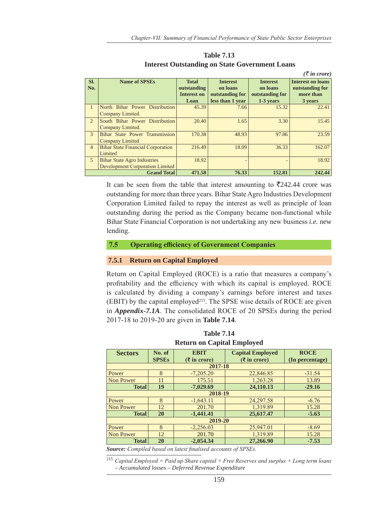|                |                                                                       |                                                           |                                                                    |                                                             | $(\bar{\tau}$ in crore)                                             |
|----------------|-----------------------------------------------------------------------|-----------------------------------------------------------|--------------------------------------------------------------------|-------------------------------------------------------------|---------------------------------------------------------------------|
| SI.<br>No.     | <b>Name of SPSEs</b>                                                  | <b>Total</b><br>outstanding<br><b>Interest on</b><br>Loan | <b>Interest</b><br>on loans<br>outstanding for<br>less than 1 year | <b>Interest</b><br>on loans<br>outstanding for<br>1-3 years | <b>Interest on loans</b><br>outstanding for<br>more than<br>3 years |
| $\mathbf{1}$   | North Bihar Power Distribution<br>Company Limited.                    | 45.39                                                     | 7.66                                                               | 15.32                                                       | 22.41                                                               |
| $\overline{2}$ | South Bihar Power Distribution<br>Company Limited.                    | 20.40                                                     | 1.65                                                               | 3.30                                                        | 15.45                                                               |
| 3              | <b>Bihar State Power Transmission</b><br>Company Limited              | 170.38                                                    | 48.93                                                              | 97.86                                                       | 23.59                                                               |
| $\overline{4}$ | <b>Bihar State Financial Corporation</b><br>Limited                   | 216.49                                                    | 18.09                                                              | 36.33                                                       | 162.07                                                              |
| 5              | <b>Bihar State Agro Industries</b><br>Development Corporation Limited | 18.92                                                     |                                                                    |                                                             | 18.92                                                               |
|                | <b>Grand Total</b>                                                    | 471.58                                                    | 76.33                                                              | 152.81                                                      | 242.44                                                              |

**Table 7.13 Interest Outstanding on State Government Loans**

It can be seen from the table that interest amounting to  $\overline{\tau}$ 242.44 crore was outstanding for more than three years. Bihar State Agro Industries Development Corporation Limited failed to repay the interest as well as principle of loan outstanding during the period as the Company became non-functional while Bihar State Financial Corporation is not undertaking any new business *i.e.* new lending.

## **7.5 Operating efficiency of Government Companies**

#### **7.5.1 Return on Capital Employed**

Return on Capital Employed (ROCE) is a ratio that measures a company's profitability and the efficiency with which its capital is employed. ROCE is calculated by dividing a company's earnings before interest and taxes (EBIT) by the capital employed<sup>215</sup>. The SPSE wise details of ROCE are given in *Appendix-7.1A*. The consolidated ROCE of 20 SPSEs during the period 2017-18 to 2019-20 are given in **Table 7.14**.

| <b>Return on Capital Employed</b> |              |                             |                         |                 |  |  |  |
|-----------------------------------|--------------|-----------------------------|-------------------------|-----------------|--|--|--|
| <b>Sectors</b>                    | No. of       | <b>EBIT</b>                 | <b>Capital Employed</b> | <b>ROCE</b>     |  |  |  |
|                                   | <b>SPSEs</b> | $(3\overline{5})$ in crore) | $(3 \infty)$ in crore)  | (In percentage) |  |  |  |
| 2017-18                           |              |                             |                         |                 |  |  |  |
| Power                             | 8            | $-7,205.20$                 | 22,846.85               | $-31.54$        |  |  |  |
| Non Power                         | 11           | 175.51                      | 1,263.28                | 13.89           |  |  |  |
| <b>Total</b>                      | 19           | $-7,029.69$                 | 24,110.13               | $-29.16$        |  |  |  |
|                                   |              | 2018-19                     |                         |                 |  |  |  |
| Power                             | 8            | $-1,643.11$                 | 24,297.58               | $-6.76$         |  |  |  |
| Non Power                         | 12           | 201.70                      | 1,319.89                | 15.28           |  |  |  |
| <b>Total</b>                      | 20           | $-1,441.41$                 | 25,617.47               | $-5.63$         |  |  |  |
| 2019-20                           |              |                             |                         |                 |  |  |  |
| Power                             | 8            | $-2,256.03$                 | 25,947.01               | $-8.69$         |  |  |  |
| Non Power                         | 12           | 201.70                      | 1,319.89                | 15.28           |  |  |  |
| <b>Total</b>                      | 20           | $-2,054.34$                 | 27,266.90               | $-7.53$         |  |  |  |

**Table 7.14 Return on Capital Employed**

*Source: Compiled based on latest finalised accounts of SPSEs.*

<sup>215</sup> *Capital Employed = Paid up Share capital + Free Reserves and surplus + Long term loans – Accumulated losses – Deferred Revenue Expenditure*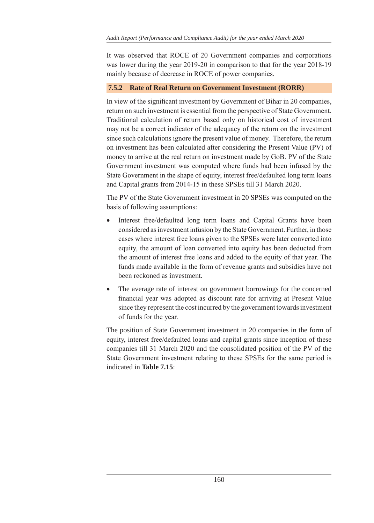It was observed that ROCE of 20 Government companies and corporations was lower during the year 2019-20 in comparison to that for the year 2018-19 mainly because of decrease in ROCE of power companies.

# **7.5.2 Rate of Real Return on Government Investment (RORR)**

In view of the significant investment by Government of Bihar in 20 companies, return on such investment is essential from the perspective of State Government. Traditional calculation of return based only on historical cost of investment may not be a correct indicator of the adequacy of the return on the investment since such calculations ignore the present value of money. Therefore, the return on investment has been calculated after considering the Present Value (PV) of money to arrive at the real return on investment made by GoB. PV of the State Government investment was computed where funds had been infused by the State Government in the shape of equity, interest free/defaulted long term loans and Capital grants from 2014-15 in these SPSEs till 31 March 2020.

The PV of the State Government investment in 20 SPSEs was computed on the basis of following assumptions:

- Interest free/defaulted long term loans and Capital Grants have been considered as investment infusion by the State Government. Further, in those cases where interest free loans given to the SPSEs were later converted into equity, the amount of loan converted into equity has been deducted from the amount of interest free loans and added to the equity of that year. The funds made available in the form of revenue grants and subsidies have not been reckoned as investment.
- The average rate of interest on government borrowings for the concerned financial year was adopted as discount rate for arriving at Present Value since they represent the cost incurred by the government towards investment of funds for the year.

The position of State Government investment in 20 companies in the form of equity, interest free/defaulted loans and capital grants since inception of these companies till 31 March 2020 and the consolidated position of the PV of the State Government investment relating to these SPSEs for the same period is indicated in **Table 7.15**: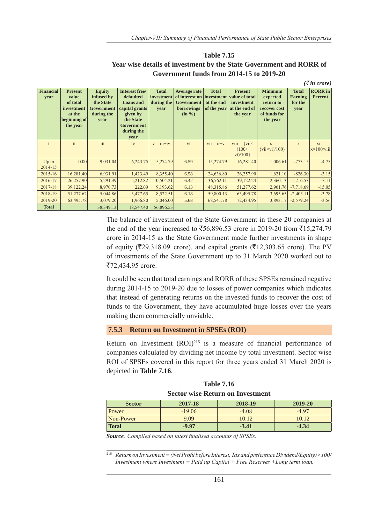| <b>Table 7.15</b>                                                   |
|---------------------------------------------------------------------|
| Year wise details of investment by the State Government and RORR of |
| Government funds from 2014-15 to 2019-20                            |

|                          |                                                                                                |                                                                              |                                                                                                                                |                                                  |                                                                                |                                                         |                                                                             |                                                                                     |                                                   | $($ ₹ in crore)                  |
|--------------------------|------------------------------------------------------------------------------------------------|------------------------------------------------------------------------------|--------------------------------------------------------------------------------------------------------------------------------|--------------------------------------------------|--------------------------------------------------------------------------------|---------------------------------------------------------|-----------------------------------------------------------------------------|-------------------------------------------------------------------------------------|---------------------------------------------------|----------------------------------|
| <b>Financial</b><br>year | <b>Present</b><br>value<br>of total<br><i>investment</i><br>at the<br>beginning of<br>the year | <b>Equity</b><br>infused by<br>the State<br>Government<br>during the<br>year | Interest free/<br>defaulted<br><b>Loans</b> and<br>capital grants<br>given by<br>the State<br>Government<br>during the<br>year | <b>Total</b><br>investment<br>during the<br>year | <b>Average rate</b><br>of interest on<br>Government<br>borrowings<br>$(in \%)$ | <b>Total</b><br>investment<br>at the end<br>of the year | <b>Present</b><br>value of total<br>investment<br>at the end of<br>the year | <b>Minimum</b><br>expected<br>return to<br>recover cost<br>of funds for<br>the year | <b>Total</b><br><b>Earning</b><br>for the<br>year | <b>RORR</b> in<br><b>Percent</b> |
| $\mathbf{i}$             | ii                                                                                             | iii                                                                          | iv                                                                                                                             | $v = i i i + i v$                                | vi                                                                             | $vii = ii+v$                                            | $viii = \{vii \times$<br>$(100+$<br>vi)/100                                 | $ix =$<br>$\{vii\times vi)/100\}$                                                   | $\mathbf{X}$                                      | $xi =$<br>$x \times 100$ /viii   |
| $Up$ to<br>2014-15       | 0.00                                                                                           | 9,031.04                                                                     | 6,243.75                                                                                                                       | 15,274.79                                        | 6.59                                                                           | 15,274.79                                               | 16,281.40                                                                   | 1,006.61                                                                            | $-773.15$                                         | $-4.75$                          |
| 2015-16                  | 16,281.40                                                                                      | 6,931.91                                                                     | 1,423.49                                                                                                                       | 8,355.40                                         | 6.58                                                                           | 24,636.80                                               | 26,257.90                                                                   | 1,621.10                                                                            | $-826.30$                                         | $-3.15$                          |
| 2016-17                  | 26,257.90                                                                                      | 5,291.39                                                                     | 5,212.82                                                                                                                       | 10,504.21                                        | 6.42                                                                           | 36,762.11                                               | 39,122.24                                                                   | 2,360.13                                                                            | $-1,216.53$                                       | $-3.11$                          |
| 2017-18                  | 39,122.24                                                                                      | 8,970.73                                                                     | 222.89                                                                                                                         | 9,193.62                                         | 6.13                                                                           | 48,315.86                                               | 51,277.62                                                                   | 2,961.76                                                                            | $-7,718.69$                                       | $-15.05$                         |
| 2018-19                  | 51,277.62                                                                                      | 5,044.86                                                                     | 3,477.65                                                                                                                       | 8,522.51                                         | 6.18                                                                           | 59,800.13                                               | 63,495.78                                                                   | 3,695.65                                                                            | $-2,403.11$                                       | $-3.78$                          |
| 2019-20                  | 63,495.78                                                                                      | 3,079.20                                                                     | 1,966.80                                                                                                                       | 5,046.00                                         | 5.68                                                                           | 68,541.78                                               | 72,434.95                                                                   | 3,893.17                                                                            | $-2,579.24$                                       | $-3.56$                          |
| <b>Total</b>             |                                                                                                | 38, 349. 13                                                                  | 18,547.40                                                                                                                      | 56,896.53                                        |                                                                                |                                                         |                                                                             |                                                                                     |                                                   |                                  |

The balance of investment of the State Government in these 20 companies at the end of the year increased to  $\overline{5}56,896.53$  crore in 2019-20 from  $\overline{5}15,274.79$ crore in 2014-15 as the State Government made further investments in shape of equity ( $\overline{(}29,318.09)$  crore), and capital grants ( $\overline{(}12,303.65)$  crore). The PV of investments of the State Government up to 31 March 2020 worked out to ₹72,434.95 crore.

It could be seen that total earnings and RORR of these SPSEs remained negative during 2014-15 to 2019-20 due to losses of power companies which indicates that instead of generating returns on the invested funds to recover the cost of funds to the Government, they have accumulated huge losses over the years making them commercially unviable.

### **7.5.3 Return on Investment in SPSEs (ROI)**

Return on Investment  $(RO I)^{216}$  is a measure of financial performance of companies calculated by dividing net income by total investment. Sector wise ROI of SPSEs covered in this report for three years ended 31 March 2020 is depicted in **Table 7.16**.

| <b>Table 7.16</b>                       |  |
|-----------------------------------------|--|
| <b>Sector wise Return on Investment</b> |  |

| <b>Sector</b> | 2017-18  | 2018-19 | 2019-20 |
|---------------|----------|---------|---------|
| Power         | $-19.06$ | $-4.08$ | $-4.97$ |
| Non-Power     | 9.09     | 10.12   | 10.12   |
| Total         | $-9.97$  | $-3.41$ | $-4.34$ |

*Source: Compiled based on latest finalised accounts of SPSEs.*

<sup>216</sup> *Return on Investment = (Net Profit before Interest, Tax and preference Dividend/Equity)×100/ Investment where Investment = Paid up Capital + Free Reserves +Long term loan.*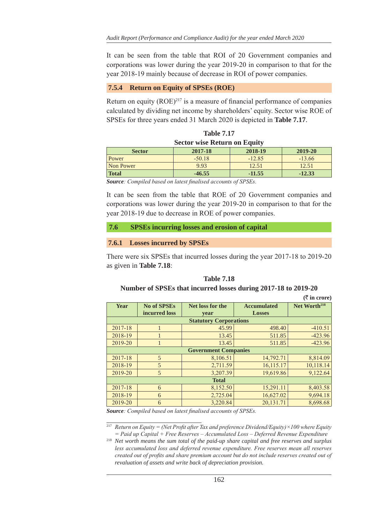It can be seen from the table that ROI of 20 Government companies and corporations was lower during the year 2019-20 in comparison to that for the year 2018-19 mainly because of decrease in ROI of power companies.

## **7.5.4 Return on Equity of SPSEs (ROE)**

Return on equity  $(ROE)^{217}$  is a measure of financial performance of companies calculated by dividing net income by shareholders' equity. Sector wise ROE of SPSEs for three years ended 31 March 2020 is depicted in **Table 7.17**.

**Table 7.17**

| <b>Sector wise Return on Equity</b>            |          |          |          |  |  |  |
|------------------------------------------------|----------|----------|----------|--|--|--|
| 2019-20<br>2017-18<br>2018-19<br><b>Sector</b> |          |          |          |  |  |  |
| Power                                          | $-50.18$ | $-12.85$ | $-13.66$ |  |  |  |
| Non Power                                      | 9.93     | 12.51    | 12.51    |  |  |  |
| <b>Total</b>                                   | $-46.55$ | $-11.55$ | $-12.33$ |  |  |  |

*Source: Compiled based on latest finalised accounts of SPSEs.*

It can be seen from the table that ROE of 20 Government companies and corporations was lower during the year 2019-20 in comparison to that for the year 2018-19 due to decrease in ROE of power companies.

### **7.6 SPSEs incurring losses and erosion of capital**

#### **7.6.1 Losses incurred by SPSEs**

There were six SPSEs that incurred losses during the year 2017-18 to 2019-20 as given in **Table 7.18**:

|                               | Tumber of St Ses that incurred tosses during $2017$ -10 to $2017$ -20 |                             |                    |                               |  |  |
|-------------------------------|-----------------------------------------------------------------------|-----------------------------|--------------------|-------------------------------|--|--|
|                               |                                                                       |                             |                    | $(\overline{\zeta}$ in crore) |  |  |
| Year                          | <b>No of SPSEs</b>                                                    | Net loss for the            | <b>Accumulated</b> | Net Worth <sup>218</sup>      |  |  |
|                               | incurred loss                                                         | year                        | <b>Losses</b>      |                               |  |  |
| <b>Statutory Corporations</b> |                                                                       |                             |                    |                               |  |  |
| 2017-18                       |                                                                       | 45.99                       | 498.40             | $-410.51$                     |  |  |
| 2018-19                       |                                                                       | 13.45                       | 511.85             | $-423.96$                     |  |  |
| 2019-20                       |                                                                       | 13.45                       | 511.85             | $-423.96$                     |  |  |
|                               |                                                                       | <b>Government Companies</b> |                    |                               |  |  |
| 2017-18                       | 5                                                                     | 8,106.51                    | 14,792.71          | 8,814.09                      |  |  |
| 2018-19                       | 5                                                                     | 2,711.59                    | 16,115.17          | 10,118.14                     |  |  |
| 2019-20                       | 5                                                                     | 3,207.39                    | 19,619.86          | 9,122.64                      |  |  |
| <b>Total</b>                  |                                                                       |                             |                    |                               |  |  |
| 2017-18                       | 6                                                                     | 8,152.50                    | 15,291.11          | 8,403.58                      |  |  |
| 2018-19                       | 6                                                                     | 2,725.04                    | 16,627.02          | 9,694.18                      |  |  |
| 2019-20                       | 6                                                                     | 3,220.84                    | 20,131.71          | 8,698.68                      |  |  |

**Table 7.18 Number of SPSEs that incurred losses during 2017-18 to 2019-20**

*Source: Compiled based on latest finalised accounts of SPSEs.*

<sup>217</sup> *Return on Equity = (Net Profit after Tax and preference Dividend/Equity)* × 100 where Equity *= Paid up Capital + Free Reserves – Accumulated Loss – Deferred Revenue Expenditure*

<sup>218</sup> *Net worth means the sum total of the paid-up share capital and free reserves and surplus less accumulated loss and deferred revenue expenditure. Free reserves mean all reserves created out of profits and share premium account but do not include reserves created out of revaluation of assets and write back of depreciation provision.*